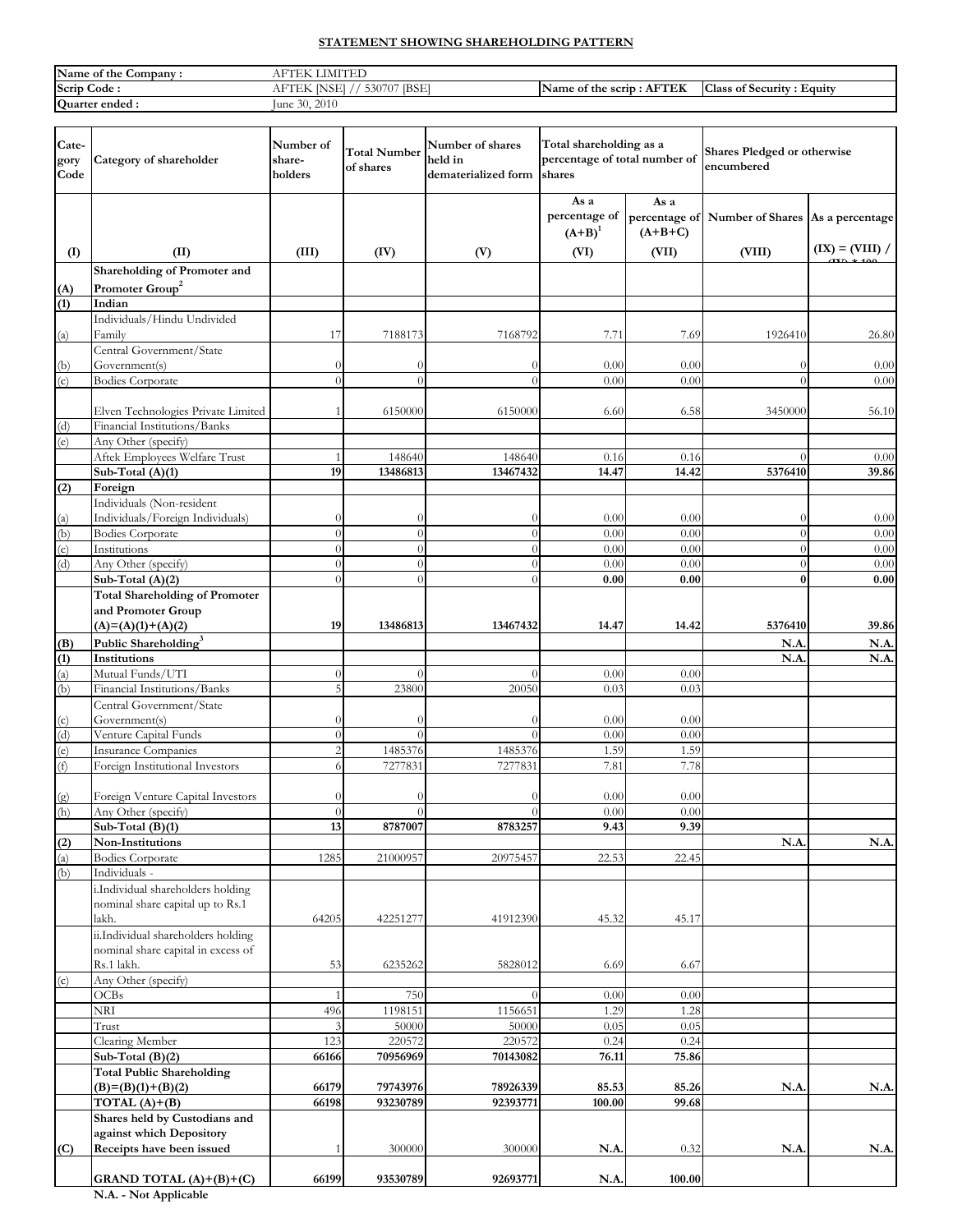# **STATEMENT SHOWING SHAREHOLDING PATTERN**

| Name of the<br>Company | <b>ILITARY</b><br>ιFΤ<br>'N.                                     |                                                     |                                                            |
|------------------------|------------------------------------------------------------------|-----------------------------------------------------|------------------------------------------------------------|
| Scrip<br>Code :        | <b>IBSE</b><br>B <sub>1</sub><br>E207<br>AFT<br>$\Delta$<br>NU L | . CTDI<br>AF<br>the scrip<br><b>Name of</b><br>TER. | $\sim$<br>. Equity<br>. Security<br>Class<br>⌒◆<br>, , , , |
| <b>Ouarter</b> ended:  | 30, 2010<br>lune                                                 |                                                     |                                                            |

| Cate-<br>gory<br>Code | Category of shareholder                                                  | Number of<br>share-<br>holders | <b>Total Number</b><br>of shares | Number of shares<br>held in<br>dematerialized form | Total shareholding as a<br>percentage of total number of<br>shares |                   | <b>Shares Pledged or otherwise</b><br>encumbered |                   |
|-----------------------|--------------------------------------------------------------------------|--------------------------------|----------------------------------|----------------------------------------------------|--------------------------------------------------------------------|-------------------|--------------------------------------------------|-------------------|
|                       |                                                                          |                                |                                  |                                                    | As a<br>percentage of<br>$(A+B)^1$                                 | As a<br>$(A+B+C)$ | percentage of Number of Shares As a percentage   |                   |
| (I)                   | (II)                                                                     | (III)                          | (IV)                             | (V)                                                | (VI)                                                               | (VII)             | (VIII)                                           | $(IX) = (VIII) /$ |
|                       | Shareholding of Promoter and                                             |                                |                                  |                                                    |                                                                    |                   |                                                  |                   |
| (A)<br>(1)            | Promoter Group <sup>2</sup><br>Indian                                    |                                |                                  |                                                    |                                                                    |                   |                                                  |                   |
|                       | Individuals/Hindu Undivided                                              |                                |                                  |                                                    |                                                                    |                   |                                                  |                   |
| (a)                   | Family                                                                   | 17                             | 7188173                          | 7168792                                            | 7.71                                                               | 7.69              | 1926410                                          | 26.80             |
|                       | Central Government/State                                                 |                                |                                  |                                                    |                                                                    |                   |                                                  |                   |
| (b)                   | Government(s)                                                            |                                |                                  | $\left( \right)$                                   | 0.00                                                               | 0.00              |                                                  | 0.00              |
| (c)                   | <b>Bodies Corporate</b>                                                  |                                | 0                                | $\Omega$                                           | 0.00                                                               | 0.00              |                                                  | 0.00              |
|                       | Elven Technologies Private Limited                                       |                                | 6150000                          | 6150000                                            | 6.60                                                               | 6.58              | 3450000                                          | 56.10             |
| (d)                   | Financial Institutions/Banks                                             |                                |                                  |                                                    |                                                                    |                   |                                                  |                   |
| (e)                   | Any Other (specify)                                                      |                                |                                  |                                                    |                                                                    |                   |                                                  |                   |
|                       | Aftek Employees Welfare Trust                                            |                                | 148640                           | 148640                                             | 0.16                                                               | 0.16              | $\Omega$                                         | 0.00              |
|                       | Sub-Total (A)(1)                                                         | 19                             | 13486813                         | 13467432                                           | 14.47                                                              | 14.42             | 5376410                                          | 39.86             |
| (2)                   | Foreign<br>Individuals (Non-resident                                     |                                |                                  |                                                    |                                                                    |                   |                                                  |                   |
| (a)                   | Individuals/Foreign Individuals)                                         |                                |                                  | $\bigcap$                                          | 0.00                                                               | 0.00              |                                                  | 0.00              |
| (b)                   | <b>Bodies Corporate</b>                                                  |                                | $\Omega$                         | $\Omega$                                           | 0.00                                                               | 0.00              | $\Omega$                                         | 0.00              |
| (c)                   | Institutions                                                             |                                | $\Omega$                         | $\Omega$                                           | 0.00                                                               | 0.00              | $\Omega$                                         | 0.00              |
| (d)                   | Any Other (specify)                                                      |                                | $\Omega$                         | $\Omega$                                           | 0.00                                                               | 0.00              | $\Omega$                                         | 0.00              |
|                       | Sub-Total (A)(2)                                                         |                                | $\Omega$                         | $\Omega$                                           | 0.00                                                               | 0.00              | $\overline{0}$                                   | 0.00              |
|                       | <b>Total Shareholding of Promoter</b>                                    |                                |                                  |                                                    |                                                                    |                   |                                                  |                   |
|                       | and Promoter Group<br>$(A)= (A)(1)+(A)(2)$                               | 19                             | 13486813                         | 13467432                                           | 14.47                                                              | 14.42             | 5376410                                          | 39.86             |
| (B)                   | Public Shareholding <sup>3</sup>                                         |                                |                                  |                                                    |                                                                    |                   | N.A                                              | N.A.              |
| (1)                   | Institutions                                                             |                                |                                  |                                                    |                                                                    |                   | N.A                                              | N.A               |
| $\overline{a}$        | Mutual Funds/UTI                                                         | U                              | V.                               | <sup>0</sup>                                       | $0.00\,$                                                           | $0.00\,$          |                                                  |                   |
| (b)                   | Financial Institutions/Banks                                             |                                | 23800                            | 20050                                              | 0.03                                                               | 0.03              |                                                  |                   |
|                       | Central Government/State                                                 |                                |                                  |                                                    |                                                                    |                   |                                                  |                   |
| (c)                   | Government(s)<br>Venture Capital Funds                                   |                                | $\Omega$                         | $\bigcap$<br>$\Omega$                              | 0.00<br>0.00                                                       | 0.00<br>0.00      |                                                  |                   |
| (d)<br>(e)            | <b>Insurance Companies</b>                                               |                                | 1485376                          | 1485376                                            | 1.59                                                               | 1.59              |                                                  |                   |
| (f)                   | Foreign Institutional Investors                                          | 6                              | 7277831                          | 7277831                                            | 7.81                                                               | 7.78              |                                                  |                   |
|                       |                                                                          |                                |                                  |                                                    |                                                                    |                   |                                                  |                   |
| (g)                   | Foreign Venture Capital Investors                                        | $\theta$                       |                                  | $\Omega$                                           | 0.00                                                               | 0.00              |                                                  |                   |
| (h)                   | Any Other (specify)                                                      | $\Omega$                       | $\Omega$                         | $\Omega$                                           | 0.00                                                               | 0.00              |                                                  |                   |
|                       | Sub-Total $(B)(1)$<br>Non-Institutions                                   | 13                             | 8787007                          | 8783257                                            | 9.43                                                               | 9.39              | N.A                                              | N.A.              |
| (2)<br>(a)            | <b>Bodies Corporate</b>                                                  | 1285                           | 21000957                         | 20975457                                           | 22.53                                                              | 22.45             |                                                  |                   |
| (b)                   | Individuals -                                                            |                                |                                  |                                                    |                                                                    |                   |                                                  |                   |
|                       | i.Individual shareholders holding                                        |                                |                                  |                                                    |                                                                    |                   |                                                  |                   |
|                       | nominal share capital up to Rs.1                                         |                                |                                  |                                                    |                                                                    |                   |                                                  |                   |
|                       | lakh.                                                                    | 64205                          | 42251277                         | 41912390                                           | 45.32                                                              | 45.17             |                                                  |                   |
|                       | ii.Individual shareholders holding<br>nominal share capital in excess of |                                |                                  |                                                    |                                                                    |                   |                                                  |                   |
|                       | Rs.1 lakh.                                                               | 53                             | 6235262                          | 5828012                                            | 6.69                                                               | 6.67              |                                                  |                   |
| (c)                   | Any Other (specify)                                                      |                                |                                  |                                                    |                                                                    |                   |                                                  |                   |
|                       | <b>OCBs</b>                                                              |                                | 750                              | $\Omega$                                           | 0.00                                                               | 0.00              |                                                  |                   |
|                       | NRI                                                                      | 496                            | 1198151                          | 1156651                                            | 1.29                                                               | 1.28              |                                                  |                   |
|                       | Trust                                                                    |                                | 50000                            | 50000                                              | 0.05                                                               | 0.05              |                                                  |                   |
|                       | Clearing Member<br>Sub-Total $(B)(2)$                                    | 123<br>66166                   | 220572<br>70956969               | 220572<br>70143082                                 | 0.24<br>76.11                                                      | 0.24<br>75.86     |                                                  |                   |
|                       | <b>Total Public Shareholding</b>                                         |                                |                                  |                                                    |                                                                    |                   |                                                  |                   |
|                       | $(B)=(B)(1)+(B)(2)$                                                      | 66179                          | 79743976                         | 78926339                                           | 85.53                                                              | 85.26             | N.A                                              | N.A.              |
|                       | TOTAL $(A)+(B)$                                                          | 66198                          | 93230789                         | 92393771                                           | 100.00                                                             | 99.68             |                                                  |                   |
|                       | Shares held by Custodians and                                            |                                |                                  |                                                    |                                                                    |                   |                                                  |                   |
|                       | against which Depository                                                 |                                |                                  |                                                    | N.A                                                                |                   | N.A                                              |                   |
| (C)                   | Receipts have been issued                                                |                                | 300000                           | 300000                                             |                                                                    | 0.32              |                                                  | N.A.              |
|                       | GRAND TOTAL $(A)+(B)+(C)$                                                | 66199                          | 93530789                         | 92693771                                           | N.A.                                                               | 100.00            |                                                  |                   |

**N.A. - Not Applicable**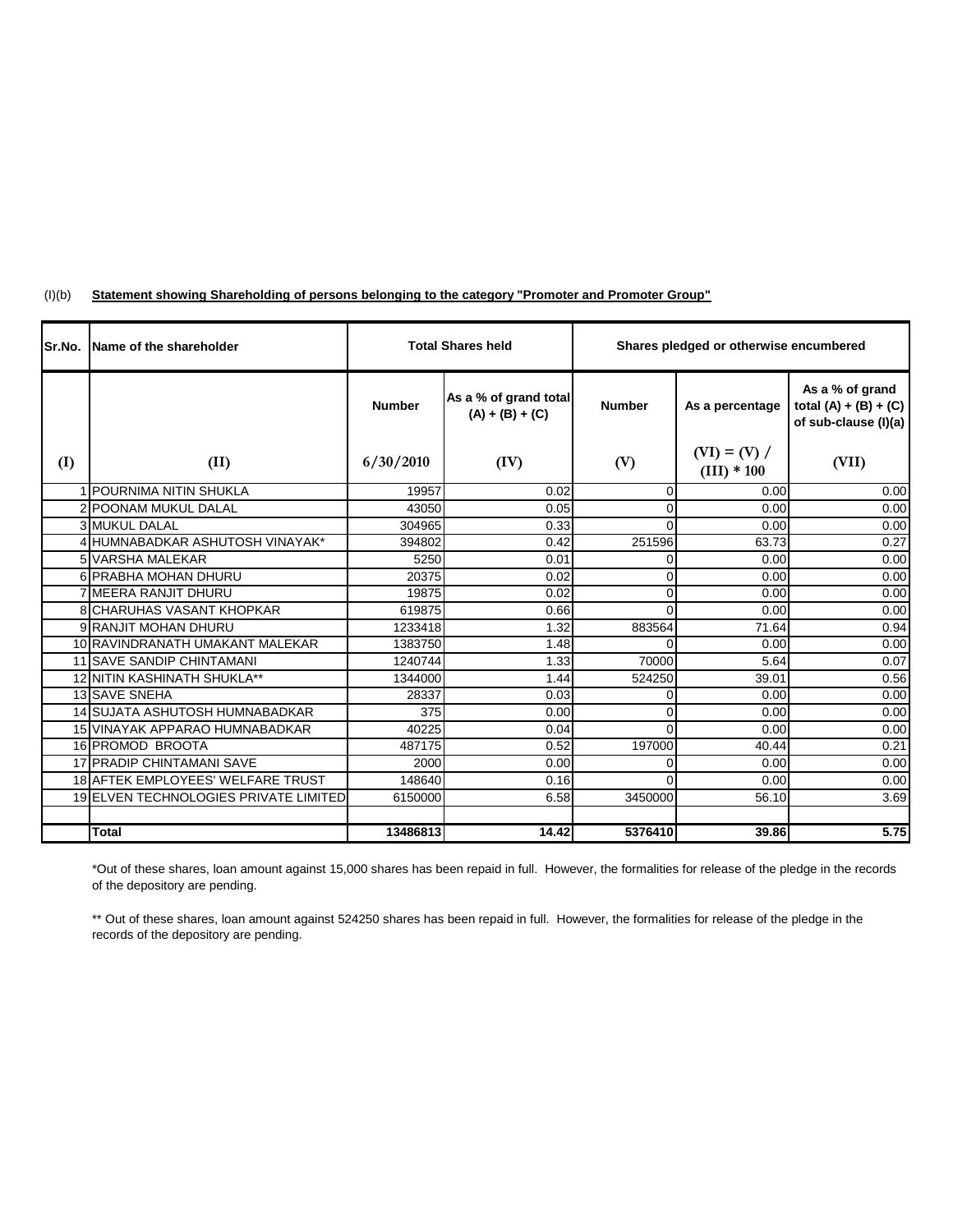|  | (l)(b) |  |  | "Statement showing Shareholding of persons belonging to the category "Promoter and Promoter Group |
|--|--------|--|--|---------------------------------------------------------------------------------------------------|
|--|--------|--|--|---------------------------------------------------------------------------------------------------|

| Sr.No. | Name of the shareholder                  | <b>Total Shares held</b> |                                            | Shares pledged or otherwise encumbered |                                 |                                                                    |  |
|--------|------------------------------------------|--------------------------|--------------------------------------------|----------------------------------------|---------------------------------|--------------------------------------------------------------------|--|
|        |                                          | <b>Number</b>            | As a % of grand total<br>$(A) + (B) + (C)$ | <b>Number</b>                          | As a percentage                 | As a % of grand<br>total $(A) + (B) + (C)$<br>of sub-clause (I)(a) |  |
| (I)    | (II)                                     | 6/30/2010                | (IV)                                       | (V)                                    | $(VI) = (V) /$<br>$(III) * 100$ | (VII)                                                              |  |
|        | 1 POURNIMA NITIN SHUKLA                  | 19957                    | 0.02                                       | $\mathbf{0}$                           | 0.00                            | 0.00                                                               |  |
|        | 2 POONAM MUKUL DALAL                     | 43050                    | 0.05                                       | $\Omega$                               | 0.00                            | 0.00                                                               |  |
|        | <b>3 MUKUL DALAL</b>                     | 304965                   | 0.33                                       | $\Omega$                               | 0.00                            | 0.00                                                               |  |
|        | 4 HUMNABADKAR ASHUTOSH VINAYAK*          | 394802                   | 0.42                                       | 251596                                 | 63.73                           | 0.27                                                               |  |
|        | 5 VARSHA MALEKAR                         | 5250                     | 0.01                                       | $\overline{0}$                         | 0.00                            | 0.00                                                               |  |
|        | 6 PRABHA MOHAN DHURU                     | 20375                    | 0.02                                       | $\Omega$                               | 0.00                            | 0.00                                                               |  |
|        | 7 MEERA RANJIT DHURU                     | 19875                    | 0.02                                       | $\mathbf 0$                            | 0.00                            | 0.00                                                               |  |
|        | <b>8 CHARUHAS VASANT KHOPKAR</b>         | 619875                   | 0.66                                       | $\Omega$                               | 0.00                            | 0.00                                                               |  |
|        | 9 RANJIT MOHAN DHURU                     | 1233418                  | 1.32                                       | 883564                                 | 71.64                           | 0.94                                                               |  |
|        | 10 RAVINDRANATH UMAKANT MALEKAR          | 1383750                  | 1.48                                       | $\Omega$                               | 0.00                            | 0.00                                                               |  |
|        | <b>11 SAVE SANDIP CHINTAMANI</b>         | 1240744                  | 1.33                                       | 70000                                  | 5.64                            | 0.07                                                               |  |
|        | 12 NITIN KASHINATH SHUKLA**              | 1344000                  | 1.44                                       | 524250                                 | 39.01                           | 0.56                                                               |  |
|        | <b>13 SAVE SNEHA</b>                     | 28337                    | 0.03                                       | 0                                      | 0.00                            | 0.00                                                               |  |
|        | 14 SUJATA ASHUTOSH HUMNABADKAR           | 375                      | 0.00                                       | $\Omega$                               | 0.00                            | 0.00                                                               |  |
|        | 15 VINAYAK APPARAO HUMNABADKAR           | 40225                    | 0.04                                       | $\Omega$                               | 0.00                            | 0.00                                                               |  |
|        | 16 PROMOD BROOTA                         | 487175                   | 0.52                                       | 197000                                 | 40.44                           | 0.21                                                               |  |
|        | <b>17 PRADIP CHINTAMANI SAVE</b>         | 2000                     | 0.00                                       | $\Omega$                               | 0.00                            | 0.00                                                               |  |
|        | <b>18 AFTEK EMPLOYEES' WELFARE TRUST</b> | 148640                   | 0.16                                       | $\Omega$                               | 0.00                            | 0.00                                                               |  |
|        | 19 ELVEN TECHNOLOGIES PRIVATE LIMITED    | 6150000                  | 6.58                                       | 3450000                                | 56.10                           | 3.69                                                               |  |
|        |                                          |                          |                                            |                                        |                                 |                                                                    |  |
|        | <b>Total</b>                             | 13486813                 | 14.42                                      | 5376410                                | 39.86                           | 5.75                                                               |  |

\*Out of these shares, loan amount against 15,000 shares has been repaid in full. However, the formalities for release of the pledge in the records of the depository are pending.

\*\* Out of these shares, loan amount against 524250 shares has been repaid in full. However, the formalities for release of the pledge in the records of the depository are pending.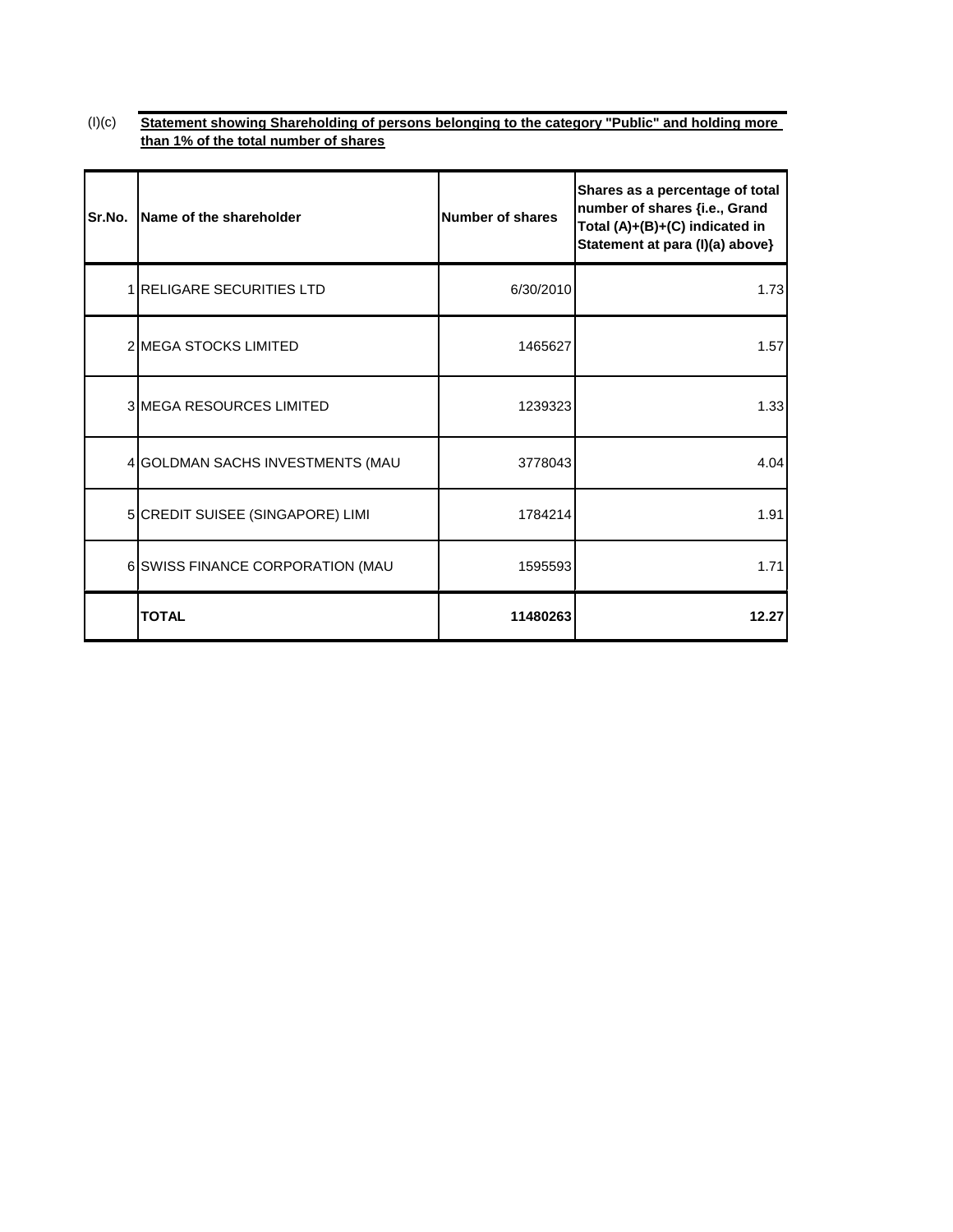### (I)(c) **Statement showing Shareholding of persons belonging to the category "Public" and holding more than 1% of the total number of shares**

| Sr.No. | Name of the shareholder          | <b>Number of shares</b> | Shares as a percentage of total<br>number of shares {i.e., Grand<br>Total (A)+(B)+(C) indicated in<br>Statement at para (I)(a) above} |
|--------|----------------------------------|-------------------------|---------------------------------------------------------------------------------------------------------------------------------------|
|        | 1 RELIGARE SECURITIES LTD        | 6/30/2010               | 1.73                                                                                                                                  |
|        | <b>2 MEGA STOCKS LIMITED</b>     | 1465627                 | 1.57                                                                                                                                  |
|        | <b>3 MEGA RESOURCES LIMITED</b>  | 1239323                 | 1.33                                                                                                                                  |
|        | 4 GOLDMAN SACHS INVESTMENTS (MAU | 3778043                 | 4.04                                                                                                                                  |
|        | 5 CREDIT SUISEE (SINGAPORE) LIMI | 1784214                 | 1.91                                                                                                                                  |
|        | 6 SWISS FINANCE CORPORATION (MAU | 1595593                 | 1.71                                                                                                                                  |
|        | <b>TOTAL</b>                     | 11480263                | 12.27                                                                                                                                 |